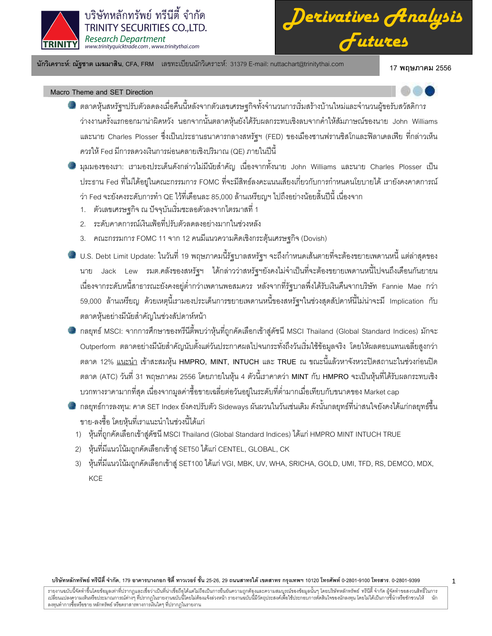

*Derivatives Analysis Futures*

นักวิเคราะห์: ณัฐชาต เมฆมาสิน, CFA, FRM แลขทะเบียนนักวิเคราะห์: 31379 E-mail: nuttachart@trinitythai.com 17 พ

17 พถษภาคม 2556

# Macro Theme and SET Direction

- ตลาดหุ้นสหรัฐฯปรับตัวลดลงเมื่อคืนนี้หลังจากตัวเลขเศรษฐกิจทั้งจำนวนการเริ่มสร้างบ้านใหม่และจำนวนผู้ขอรับสวัสดิการ ว่างงานครั้งแรกออกมาน่าผิดหวัง นอกจากนั้นตลาดหุ้นยังได้รับผลกระทบเชิงลบจากคำให้สัมภาษณ์ของนาย John Williams และนาย Charles Plosser ซึ่งเป็นประธานธนาคารกลางสหรัฐฯ (FED) ของเมืองซานฟรานซิสโกและฟิลาเดลเฟีย ที่กล่าวเห็น ควรให้ Fed มีการลดวงเงินการผ่อนคลายเชิงปริมาณ (QE) ภายในปีนี้
- มุมมองของเรา: เรามองประเด็นดังกล่าวไม่มีนัยสำคัญ เนื่องจากทั้งนาย John Williams และนาย Charles Plosser เป็น ประธาน Fed ที่ไม่ได้อยู่ในคณะกรรมการ FOMC ที่จะมีสิทธ์ลงคะแนนเสียงเกี่ยวกับการกำหนดนโยบายได้ เรายังคงคาดการณ์ ว่า Fed จะยังคงระดับการทำ QE ไว้ที่เดือนละ 85,000 ล้านเหรียญฯ ไปถึงอย่างน้อยสิ้นปีนี้ เนื่องจาก  $\overline{1}$ 
	- 1. ตัวเลขเศรษฐกิจ ณ ปัจจุบันเริ่มชะลอตัวลงจากไตรมาสที่ 1
	- 2. ระดับคาดการณ์เงินเฟ้อที่ปรับตัวลดลงอย่างมากในช่วงหลัง
	- 3. คณะกรรมการ FOMC 11 จาก 12 คนมีแนวความคิดเชิงกระตุ้นเศรษฐกิจ (Dovish)
- U.S. Debt Limit Update: ในวันที่ 19 พฤษภาคมนี้รัฐบาลสหรัฐฯ จะถึงกำหนดเส้นตายที่จะต้องขยายเพดานหนี้ แต่ล่าสุดของ นาย Jack Lew รมต.คลังของสหรัฐฯ ได้กล่าวว่าสหรัฐฯยังคงไม่จำเป็นที่จะต้องขยายเพดานหนี้ไปจนถึงเดือนกันยายน เนื่องจากระดับหนี้สาธารณะยังคงอยู่ต่ำกว่าเพดานพอสมควร หลังจากที่รัฐบาลพึ่งได้รับเงินคืนจากบริษัท Fannie Mae กว่า 59,000 ล้านเหรียญ ด้วยเหตุนี้เรามองประเด็นการขยายเพดานหนี้ของสหรัฐฯในช่วงสุดสัปดาห์นี้ไม่น่าจะมี Implication กับ  $\ddot{\phantom{0}}$ ตลาดหุ้นอย่างมีนัยสำคัญในช่วงสัปดาห์หน้า
- กลยุทธ์ MSCI: จากการศึกษาของทรีนีตี๋พบว่าหุ้นที่ถูกคัดเลือกเข้าสู่ดัชนี MSCI Thailand (Global Standard Indices) มักจะ ֚֚֚֚֡ Outperform ตลาดอย่างมีนัยสำคัญนับตั้งแต่วันประกาศผลไปจนกระทั่งถึงวันเริ่มใช้ข้อมูลจริง โดยให้ผลตอบแทนเฉลี่ยสูงกว่า ตลาด 12% <u>แนะนำ</u> เข้าสะสมหุ้น HMPRO, MINT, INTUCH และ TRUE ณ ขณะนี้แล้วหาจังหวะปิดสถานะในช่วงก่อนปิด ตลาด (ATC) วันที่ 31 พฤษภาคม 2556 โดยภายในหุ้น 4 ตัวนี้เราคาดว่า MINT กับ HMPRO จะเป็นหุ้นที่ได้รับผลกระทบเชิง บวกทางราคามากที่สุด เนื่องจากมูลค่าซื้อขายเฉลี่ยต่อวันอยู่ในระดับที่ต่ำมากเมื่อเทียบกับขนาดของ Market cap
- กลยุทธ์การลงทุน: คาด SET Index ยังคงปรับตัว Sideways ผันผวนในวันเช่นเดิม ดังนั้นกลยุทธ์ที่น่าสนใจยังคงได้แก่กลยุทธ์ขึ้น ขาย-ลงซื้อ โดยหุ้นที่เราแนะนำในช่วงนี้ได้แก่
	- 1) หุ้นที่ถูกคัดเลือกเข้าสู่ดัชนี MSCI Thailand (Global Standard Indices) ได้แก่ HMPRO MINT INTUCH TRUE
	- 2) หุ้นที่มีแนวโน้มถูกคัดเลือกเข้าสู่ SET50 ได้แก่ CENTEL, GLOBAL, CK
	- 3) หุ้นที่มีแนวโน้มถูกคัดเลือกเข้าสู่ SET100 ได้แก่ VGI, MBK, UV, WHA, SRICHA, GOLD, UMI, TFD, RS, DEMCO, MDX, **KCE**

บริษัทหลักทรัพย์ ทรีนีตี้ จำกัด, 179 อาคารบางกอก ซิตี้ ทาวเวอร์ ชั้น 25-26, 29 ถนนสาทรได้ เขตสาร กรุงเทพฯ 10120 โทรศัพท์ 0-2801-9399 คำสาร. 0-2801-9399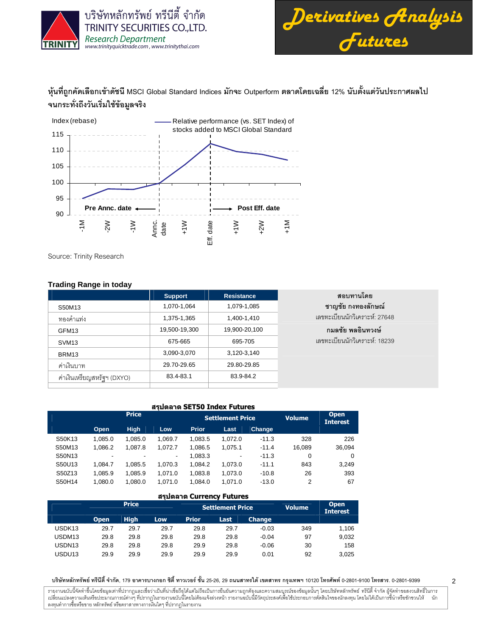



2

หุ้นที่ถูกคัดเลือกเข้าดัชนี MSCI Global Standard Indices มักจะ Outperform ตลาดโดยเฉลี่ย 12% นับตั้งแต่วันประกาศผลไป จนกระทั่งถึงวันเริ่มใช้ข้อมูลจริง



Source: Trinity Research

# **Trading Range in today**

|                            | <b>Support</b> | <b>Resistance</b> | สอบทานโดย                     |
|----------------------------|----------------|-------------------|-------------------------------|
| S50M13                     | 1,070-1,064    | 1,079-1,085       | ชาญชัย กงทองลักษณ์            |
| ทองคำแท่ง                  | 1,375-1,365    | 1,400-1,410       | เลขทะเบียนนักวิเคราะห์: 27648 |
| GFM13                      | 19,500-19,300  | 19,900-20,100     | ึกมลชัย พลอินทวงษ์            |
| SVM <sub>13</sub>          | 675-665        | 695-705           | เลขทะเบียนนักวิเคราะห์: 18239 |
| BRM13                      | 3,090-3,070    | 3,120-3,140       |                               |
| ค่าเงินบาท                 | 29.70-29.65    | 29.80-29.85       |                               |
| ค่าเงินเหรียญสหรัฐฯ (DXYO) | 83.4-83.1      | 83.9-84.2         |                               |
|                            |                |                   |                               |

#### สรุปตลาด SET50 Index Futures

|        |                          | <b>Price</b> |         |              | <b>Settlement Price</b> | <b>Volume</b> | <b>Open</b><br><b>Interest</b> |          |
|--------|--------------------------|--------------|---------|--------------|-------------------------|---------------|--------------------------------|----------|
|        | Open                     | <b>High</b>  | Low     | <b>Prior</b> | Last                    | Change        |                                |          |
| S50K13 | 1.085.0                  | 1.085.0      | 1.069.7 | 1.083.5      | 1.072.0                 | $-11.3$       | 328                            | 226      |
| S50M13 | 1.086.2                  | 1.087.8      | 1.072.7 | 1.086.5      | 1.075.1                 | $-11.4$       | 16.089                         | 36,094   |
| S50N13 | $\overline{\phantom{a}}$ | -            | -       | 1.083.3      | ٠                       | $-11.3$       | 0                              | $\Omega$ |
| S50U13 | 1.084.7                  | 1.085.5      | 1.070.3 | 1.084.2      | 1.073.0                 | $-11.1$       | 843                            | 3,249    |
| S50Z13 | 1.085.9                  | 1.085.9      | 1.071.0 | 1.083.8      | 1.073.0                 | $-10.8$       | 26                             | 393      |
| S50H14 | 1,080.0                  | 1.080.0      | 1.071.0 | 1.084.0      | 1.071.0                 | $-13.0$       | 2                              | 67       |

#### สรุปตลาด Currency Futures

|                    |             | <b>Price</b> |      |              | <b>Settlement Price</b> | <b>Volume</b> | <b>Open</b><br><b>Interest</b> |       |
|--------------------|-------------|--------------|------|--------------|-------------------------|---------------|--------------------------------|-------|
|                    | <b>Open</b> | <b>High</b>  | Low. | <b>Prior</b> | Last                    | <b>Change</b> |                                |       |
| USDK <sub>13</sub> | 29.7        | 29.7         | 29.7 | 29.8         | 29.7                    | $-0.03$       | 349                            | 1.106 |
| USDM13             | 29.8        | 29.8         | 29.8 | 29.8         | 29.8                    | $-0.04$       | 97                             | 9,032 |
| USDN <sub>13</sub> | 29.8        | 29.8         | 29.8 | 29.9         | 29.8                    | $-0.06$       | 30                             | 158   |
| USDU <sub>13</sub> | 29.9        | 29.9         | 29.9 | 29.9         | 29.9                    | 0.01          | 92                             | 3,025 |

บริษัทหลักทรัพย์ ทรีนีตี้ จำกัด, 179 อาคารบางกอก ซิตี้ ทาวเวอร์ ชั้น 25-26, 29 ถนนสาทรได้ เขตสาร กรุงเทพฯ 10120 โทรศัพท์ 0-2801-9399 คำสาร. 0-2801-9399

รายงานฉบับนี้จัดทำขึ้นโดยข้อมูลเท่าที่ปรากฏและเชื่อว่าเป็นที่น่าขึ้นต้อมก็การบันความสูงและความสมบูรณ์ของข้อมูลนั้นๆ โดยบริษัทหลักทรัพย์ ทรีนี้ตี้ จำกัด ผู้จัดทำขอสงวนสิทธิ์ในการ í เปลี่ยนแปลงความเห็นหรือประมาณการณ์ต่างๆ ที่ปรากฏในรายงานฉบันนี้ต้องแจ้งล่วงหน้า รายงานฉบับนี้มีจักตรีในโจรตัดอนได้แปรตั้งในการขึ้นำหรือชักชวนให้ นัก ลงทุนทำการซื้อหรือขาย หลักทรัพย์ หรือตราสารทางการเงินใดๆ ที่ปรากฏในรายงาน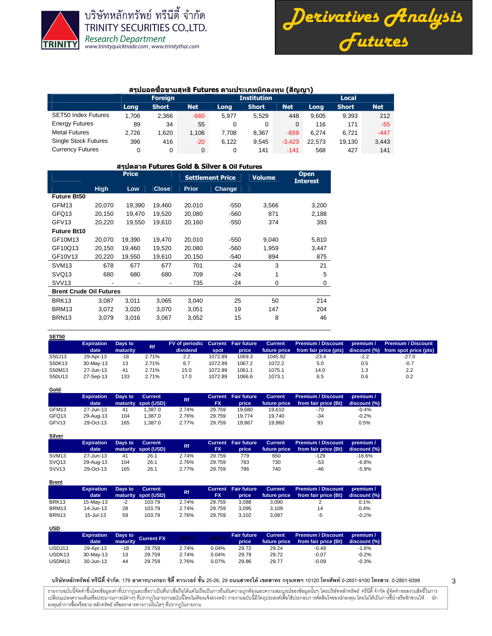

**Gold**

**Silver**

บริษัทหลักทรัพย์ ทรีนีตี้ จำกัด TRINITY SECURITIES CO., LTD. **Research Department** www.trinityquicktrade.com, www.trinitythai.com



#### สรุปยอดขี้อขายสุทธิ Futures ตามประเภทนักลงทุน (สัญญา)

|                             |       | <b>Foreign</b> |            |       | <b>Institution</b> |          | <b>Local</b> |              |            |  |
|-----------------------------|-------|----------------|------------|-------|--------------------|----------|--------------|--------------|------------|--|
|                             | Long  | <b>Short</b>   | <b>Net</b> | Lona  | <b>Short</b>       | Net      | Long         | <b>Short</b> | <b>Net</b> |  |
| <b>SET50 Index Futures</b>  | 1,706 | 2.366          | $-660$     | 5.977 | 5.529              | 448      | 9.605        | 9.393        | 212        |  |
| <b>Energy Futures</b>       | 89    | 34             | 55         | 0     | 0                  |          | 116          | 171          | $-55$      |  |
| <b>Metal Futures</b>        | 2,726 | 1.620          | 1.106      | 7.708 | 8,367              | $-659$   | 6.274        | 6.721        | $-447$     |  |
| <b>Single Stock Futures</b> | 396   | 416            | $-20$      | 6.122 | 9.545              | $-3.423$ | 22.573       | 19.130       | 3,443      |  |
| <b>Currency Futures</b>     |       | 0              | $\Omega$   | 0     | 141                | $-141$   | 568          | 427          | 141        |  |

#### สรุปตลาด Futures Gold & Silver & Oil Futures

|                                |             | <b>Price</b> |              |              | <b>Settlement Price</b> | <b>Volume</b> | <b>Open</b><br><b>Interest</b> |
|--------------------------------|-------------|--------------|--------------|--------------|-------------------------|---------------|--------------------------------|
|                                | <b>High</b> | Low          | <b>Close</b> | <b>Prior</b> | Change                  |               |                                |
| <b>Future Bt50</b>             |             |              |              |              |                         |               |                                |
| GFM13                          | 20,070      | 19,390       | 19,460       | 20,010       | $-550$                  | 3,566         | 3,200                          |
| GFQ13                          | 20,150      | 19,470       | 19,520       | 20,080       | $-560$                  | 871           | 2,188                          |
| GFV <sub>13</sub>              | 20,220      | 19,550       | 19,610       | 20,160       | $-550$                  | 374           | 393                            |
| <b>Future Bt10</b>             |             |              |              |              |                         |               |                                |
| GF10M13                        | 20.070      | 19,390       | 19,470       | 20,010       | $-550$                  | 9,040         | 5,810                          |
| GF10Q13                        | 20,150      | 19,460       | 19,520       | 20,080       | $-560$                  | 1,959         | 3,447                          |
| GF10V13                        | 20,220      | 19,550       | 19,610       | 20,150       | $-540$                  | 894           | 875                            |
| SVM <sub>13</sub>              | 678         | 677          | 677          | 701          | $-24$                   | 3             | 21                             |
| SVQ <sub>13</sub>              | 680         | 680          | 680          | 709          | $-24$                   | 1             | 5                              |
| SVV <sub>13</sub>              |             |              | ٠            | 735          | $-24$                   | 0             | 0                              |
| <b>Brent Crude Oil Futures</b> |             |              |              |              |                         |               |                                |
| BRK <sub>13</sub>              | 3,087       | 3,011        | 3,065        | 3,040        | 25                      | 50            | 214                            |
| BRM13                          | 3.072       | 3.020        | 3,070        | 3,051        | 19                      | 147           | 204                            |
| BRN <sub>13</sub>              | 3,079       | 3,016        | 3,067        | 3,052        | 15                      | 8             | 46                             |
|                                |             |              |              |              |                         |               |                                |

| SET50  |                           |                     |       |                                                |         |        |                |                                                                 |           |                                                                 |
|--------|---------------------------|---------------------|-------|------------------------------------------------|---------|--------|----------------|-----------------------------------------------------------------|-----------|-----------------------------------------------------------------|
|        | <b>Expiration</b><br>date | Days to<br>maturity | Rf.   | FV of periodic Current Fair future<br>dividend | spot    | price  | <b>Current</b> | <b>Premium / Discount</b><br>future price from fair price (pts) | premium / | <b>Premium / Discount</b><br>discount (%) from spot price (pts) |
|        |                           |                     |       |                                                |         |        |                |                                                                 |           |                                                                 |
| S50J13 | 29-Apr-13                 | $-18$               | 2.71% | 2.2                                            | 1072.89 | 1069.3 | 1045.92        | $-23.4$                                                         | $-2.2$    | -27.0                                                           |
| S50K13 | 30-May-13                 | 13                  | 2.71% | 6.7                                            | 1072.89 | 1067.2 | 1072.2         | 5.0                                                             | 0.5       | $-0.7$                                                          |
| S50M13 | 27-Jun-13                 | 41                  | 2.71% | 15.0                                           | 1072.89 | 1061.1 | 1075.1         | 14.0                                                            | 1.3       | 2.2                                                             |
| S50U13 | 27-Sep-13                 | 133                 | 2.71% | 17.0                                           | 1072.89 | 1066.6 | 1073.1         | 6.5                                                             | 0.6       | 0.2                                                             |

| $\overline{\phantom{a}}$ |                           |         |                                       |       |        |                                     |                                |                                                   |                           |
|--------------------------|---------------------------|---------|---------------------------------------|-------|--------|-------------------------------------|--------------------------------|---------------------------------------------------|---------------------------|
|                          | <b>Expiration</b><br>date | Days to | <b>Current</b><br>maturity spot (USD) | Rf    | FX     | <b>Current</b> Fair future<br>price | <b>Current</b><br>future price | <b>Premium / Discount</b><br>from fair price (Bt) | premium /<br>discount (%) |
| GFM13                    | 27-Jun-13                 | 41      | 1.387.0                               | 2.74% | 29.759 | 19.680                              | 19.610                         | -70                                               | $-0.4%$                   |
| GFQ13                    | 29-Aug-13                 | 104     | 1.387.0                               | 2.76% | 29.759 | 19.774                              | 19.740                         | $-34$                                             | $-0.2%$                   |
| GFV <sub>13</sub>        | 29-Oct-13                 | 165     | 1.387.0                               | 2.77% | 29.759 | 19.867                              | 19.960                         | 93                                                | 0.5%                      |

|                   | <b>Expiration</b><br>date | Days to | Current<br>maturity spot (USD) | <b>Rf</b> | <b>FX</b> | <b>Current Fair future</b><br>price <sup>®</sup> | <b>Current</b><br>future price | Premium / Discount<br>from fair price (Bt) | premium /<br>discount (%) |
|-------------------|---------------------------|---------|--------------------------------|-----------|-----------|--------------------------------------------------|--------------------------------|--------------------------------------------|---------------------------|
| SVM <sub>13</sub> | 27-Jun-13                 | 41      | 26.1                           | 2.74%     | 29.759    | 779                                              | 650                            | $-129$                                     | $-16.6%$                  |
| SVQ <sub>13</sub> | 29-Aug-13                 | 104     | 26.1                           | 2.76%     | 29.759    | 783                                              | 730                            | $-53$                                      | $-6.8%$                   |
| SVV <sub>13</sub> | 29-Oct-13                 | 165     | 26.1                           | 2.77%     | 29.759    | 786                                              | 740                            | -46                                        | $-5.9%$                   |

| <u>Brent</u>      |                   |         |                     |       |           |                            |                |                           |              |
|-------------------|-------------------|---------|---------------------|-------|-----------|----------------------------|----------------|---------------------------|--------------|
|                   | <b>Expiration</b> | Days to | Current             | Rf    |           | <b>Current</b> Fair future | <b>Current</b> | <b>Premium / Discount</b> | premium /    |
|                   | date              |         | maturity spot (USD) |       | <b>FX</b> | price                      | future price   | from fair price (Bt)      | discount (%) |
| BRK <sub>13</sub> | 15-May-13         | -2      | 103.79              | 2.74% | 29.759    | 3.088                      | 3.090          |                           | 0.1%         |
| BRM13             | $14$ -Jun-13      | 28      | 103.79              | 2.74% | 29.759    | 3.095                      | 3.109          | 14                        | 0.4%         |
| BRN <sub>13</sub> | 15-Jul-13         | 59      | 103.79              | 2.76% | 29.759    | 3.102                      | 3.097          | -5                        | $-0.2%$      |

| <u>USD</u>         |                   |                  |            |       |              |                    |                |                           |              |
|--------------------|-------------------|------------------|------------|-------|--------------|--------------------|----------------|---------------------------|--------------|
|                    | <b>Expiration</b> | Days to          | Current FX | TH1YY | <b>US1YY</b> | <b>Fair future</b> | <b>Current</b> | <b>Premium / Discount</b> | premium /    |
|                    | date              | <b>Imaturity</b> |            |       |              | price              | future price   | from fair price (Bt)      | discount (%) |
| USDJ13             | 29-Apr-13         | -18              | 29.759     | 2.74% | 0.04%        | 29.72              | 29.24          | $-0.48$                   | $-1.6\%$     |
| USDK <sub>13</sub> | 30-May-13         | 13               | 29.759     | 2.74% | 0.04%        | 29.79              | 29.72          | $-0.07$                   | $-0.2%$      |
| USDM <sub>13</sub> | 30-Jun-13         | 44               | 29.759     | 2.76% | 0.07%        | 29.86              | 29.77          | $-0.09$                   | $-0.3%$      |

บริษัทหลักทรัพย์ ทรีนีตี้ จำกัด, 179 อาคารบางกอก ซิตี้ ทาวเวอร์ ชั้น 25-26, 29 ถนนสาทรได้ เขตสาร กรุงเทพฯ 10120 โทรศัพท์ 0-2801-9399 คำสาร. 0-2801-9399

รายงานฉบับนี้จัดทำขึ้นโดยข้อมูลเท่าที่ปรากฏและเชื่อว่าเป็นที่น่าขึ้นต้อมก็การบันความสูงและความสมบูรณ์ของข้อมูลนั้นๆ โดยบริษัทหลักทรัพย์ ทรีนี้ตี้ จำกัด ผู้จัดทำขอสงวนสิทธิ์ในการ í เปลี่ยนแปลงความเห็นหรือประมาณการณ์ต่างๆ ที่ปรากฏในรายงานฉบันนี้ต้องแจ้งล่วงหน้า รายงานฉบับนี้มีจักตรีในโจรตัดอนได้แปรตั้งในการขึ้นำหรือชักชวนให้ นัก ลงทุนทำการซื้อหรือขาย หลักทรัพย์ หรือตราสารทางการเงินใดๆ ที่ปรากฏในรายงาน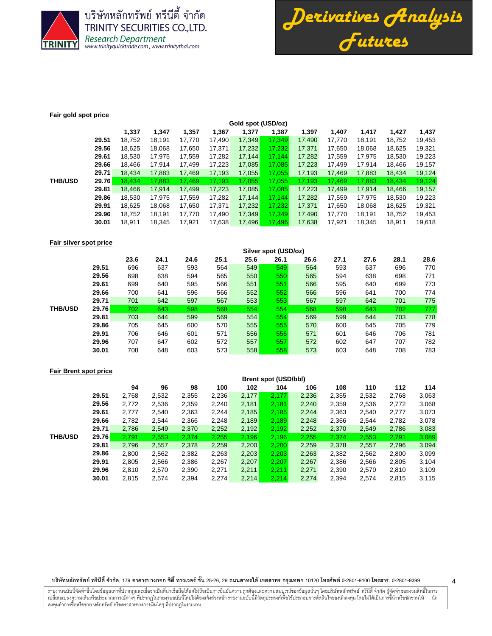

บริษัทหลักทรัพย์ ทรีนีตี้ จำกัด **TRINITY SECURITIES CO., LTD.** Research Department<br>www.trinityquicktrade.com, www.trinitythai.com



#### **Fair gold spot price**

|                |              | Gold spot (USD/oz) |        |        |        |        |        |        |        |        |        |        |  |  |
|----------------|--------------|--------------------|--------|--------|--------|--------|--------|--------|--------|--------|--------|--------|--|--|
|                |              | 1,337              | 1,347  | 1,357  | 1,367  | 1,377  | 1,387  | 1,397  | 1,407  | 1,417  | 1,427  | 1,437  |  |  |
|                | 29.51        | 18,752             | 18.191 | 17.770 | 17.490 | 17,349 | 17.349 | 17.490 | 17.770 | 18.191 | 18.752 | 19,453 |  |  |
|                | 29.56        | 18,625             | 18,068 | 17,650 | 17,371 | 17,232 | 17.232 | 17,371 | 17,650 | 18,068 | 18,625 | 19,321 |  |  |
|                | 29.61        | 18,530             | 17,975 | 17,559 | 17,282 | 17,144 | 17.144 | 17,282 | 17,559 | 17,975 | 18,530 | 19,223 |  |  |
|                | 29.66        | 18.466             | 17,914 | 17.499 | 17,223 | 17,085 | 17.085 | 17.223 | 17,499 | 17,914 | 18,466 | 19,157 |  |  |
|                | 29.71        | 18,434             | 17,883 | 17,469 | 17,193 | 17,055 | 17,055 | 17.193 | 17,469 | 17,883 | 18,434 | 19,124 |  |  |
| <b>THB/USD</b> | <b>29.76</b> | 18.434             | 17.883 | 17,469 | 17,193 | 17,055 | 17,055 | 17.193 | 17,469 | 17,883 | 18,434 | 19,124 |  |  |
|                | 29.81        | 18,466             | 17.914 | 17,499 | 17,223 | 17,085 | 17,085 | 17,223 | 17,499 | 17,914 | 18,466 | 19,157 |  |  |
|                | 29.86        | 18,530             | 17.975 | 17,559 | 17.282 | 17,144 | 17.144 | 17.282 | 17,559 | 17.975 | 18,530 | 19,223 |  |  |
|                | 29.91        | 18,625             | 18.068 | 17.650 | 17.371 | 17,232 | 17.232 | 17.371 | 17,650 | 18.068 | 18.625 | 19,321 |  |  |
|                | 29.96        | 18,752             | 18.191 | 17.770 | 17.490 | 17,349 | 17.349 | 17.490 | 17,770 | 18,191 | 18,752 | 19,453 |  |  |
|                | 30.01        | 18.911             | 18.345 | 17,921 | 17,638 | 17,496 | 17,496 | 17,638 | 17,921 | 18,345 | 18,911 | 19,618 |  |  |
|                |              |                    |        |        |        |        |        |        |        |        |        |        |  |  |

# **Fair silver spot price**

|              | 23.6 | 24.1 | 24.6 | 25.1 | 25.6 | 26.1 | 26.6 | 27.1                 | 27.6 | 28.1 | 28.6 |  |  |
|--------------|------|------|------|------|------|------|------|----------------------|------|------|------|--|--|
| 29.51        | 696  | 637  | 593  | 564  | 549  | 549  | 564  | 593                  | 637  | 696  | 770  |  |  |
| 29.56        | 698  | 638  | 594  | 565  | 550  | 550  | 565  | 594                  | 638  | 698  | 771  |  |  |
| 29.61        | 699  | 640  | 595  | 566  | 551  | 551  | 566  | 595                  | 640  | 699  | 773  |  |  |
| 29.66        | 700  | 641  | 596  | 566  | 552  | 552  | 566  | 596                  | 641  | 700  | 774  |  |  |
| 29.71        | 701  | 642  | 597  | 567  | 553  | 553  | 567  | 597                  | 642  | 701  | 775  |  |  |
| <b>29.76</b> | 702  | 643  | 598  | 568  | 554  | 554  | 568  | 598                  | 643  | 702  | 777  |  |  |
| 29.81        | 703  | 644  | 599  | 569  | 554  | 554  | 569  | 599                  | 644  | 703  | 778  |  |  |
| 29.86        | 705  | 645  | 600  | 570  | 555  | 555  | 570  | 600                  | 645  | 705  | 779  |  |  |
| 29.91        | 706  | 646  | 601  | 571  | 556  | 556  | 571  | 601                  | 646  | 706  | 781  |  |  |
| 29.96        | 707  | 647  | 602  | 572  | 557  | 557  | 572  | 602                  | 647  | 707  | 782  |  |  |
| 30.01        | 708  | 648  | 603  | 573  | 558  | 558  | 573  | 603                  | 648  | 708  | 783  |  |  |
|              |      |      |      |      |      |      |      | Silver spot (USD/oz) |      |      |      |  |  |

### **Fair Brent spot price**

|                |       | <b>Brent spot (USD/bbl)</b> |       |       |       |       |       |       |       |       |       |       |
|----------------|-------|-----------------------------|-------|-------|-------|-------|-------|-------|-------|-------|-------|-------|
|                |       | 94                          | 96    | 98    | 100   | 102   | 104   | 106   | 108   | 110   | 112   | 114   |
|                | 29.51 | 2,768                       | 2,532 | 2,355 | 2,236 | 2,177 | 2,177 | 2,236 | 2,355 | 2,532 | 2,768 | 3,063 |
|                | 29.56 | 2,772                       | 2,536 | 2,359 | 2,240 | 2,181 | 2,181 | 2,240 | 2,359 | 2,536 | 2,772 | 3,068 |
|                | 29.61 | 2.777                       | 2,540 | 2,363 | 2,244 | 2,185 | 2,185 | 2.244 | 2,363 | 2,540 | 2,777 | 3,073 |
|                | 29.66 | 2,782                       | 2,544 | 2,366 | 2,248 | 2,189 | 2,189 | 2.248 | 2,366 | 2,544 | 2,782 | 3,078 |
|                | 29.71 | 2.786                       | 2,549 | 2,370 | 2,252 | 2,192 | 2,192 | 2,252 | 2,370 | 2,549 | 2,786 | 3,083 |
| <b>THB/USD</b> | 29.76 | 2.791                       | 2.553 | 2,374 | 2,255 | 2.196 | 2.196 | 2.255 | 2.374 | 2,553 | 2.791 | 3,089 |
|                | 29.81 | 2,796                       | 2,557 | 2,378 | 2,259 | 2,200 | 2,200 | 2,259 | 2,378 | 2,557 | 2,796 | 3,094 |
|                | 29.86 | 2,800                       | 2,562 | 2,382 | 2,263 | 2,203 | 2.203 | 2,263 | 2,382 | 2,562 | 2,800 | 3,099 |
|                | 29.91 | 2,805                       | 2,566 | 2,386 | 2,267 | 2,207 | 2.207 | 2,267 | 2,386 | 2,566 | 2,805 | 3,104 |
|                | 29.96 | 2.810                       | 2,570 | 2,390 | 2,271 | 2,211 | 2.211 | 2,271 | 2,390 | 2,570 | 2,810 | 3,109 |
|                | 30.01 | 2,815                       | 2,574 | 2,394 | 2.274 | 2,214 | 2.214 | 2,274 | 2,394 | 2,574 | 2,815 | 3,115 |

#### บริษัทหลักทรัพย์ ทรีนีตี้ จำกัด, 179 อาคารบางกอก ซิตี้ ทาวเวอร์ ชั้น 25-26, 29 ถนนสาทรได้ เขตสาร กรุงเทพฯ 10120 โทรศัพท์ 0-2801-9399 คำสาร. 0-2801-9399

รายงานฉบับนี้จัดทำขึ้นโดยข้อมูลเท่าที่ปรากฏและเชื่อว่าเป็นที่น่าขึ้นต้อมก็การบันความสูงและความสมบูรณ์ของข้อมูลนั้นๆ โดยบริษัทหลักทรัพย์ ทรีนี้ตี้ จำกัด ผู้จัดทำขอสงวนสิทธิ์ในการ í เปลี่ยนแปลงความเห็นหรือประมาณการณ์ต่างๆ ที่ปรากฏในรายงานฉบันนี้ต้องแจ้งล่วงหน้า รายงานฉบับนี้มีจักตรีในโจรตัดอนได้แปรตั้งในการขึ้นำหรือชักชวนให้ นัก ลงทุนทำการซื้อหรือขาย หลักทรัพย์ หรือตราสารทางการเงินใดๆ ที่ปรากฏในรายงาน